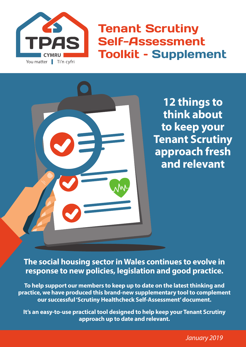

Tenant Scrutiny Self-Assessment Toolkit – Supplement

> **12 things to think about to keep your Tenant Scrutiny approach fresh and relevant**

**The social housing sector in Wales continues to evolve in response to new policies, legislation and good practice.**

**To help support our members to keep up to date on the latest thinking and practice, we have produced this brand-new supplementary tool to complement our successful 'Scrutiny Healthcheck Self-Assessment' document.** 

**It's an easy-to-use practical tool designed to help keep your Tenant Scrutiny approach up to date and relevant.** 

*January 2019*